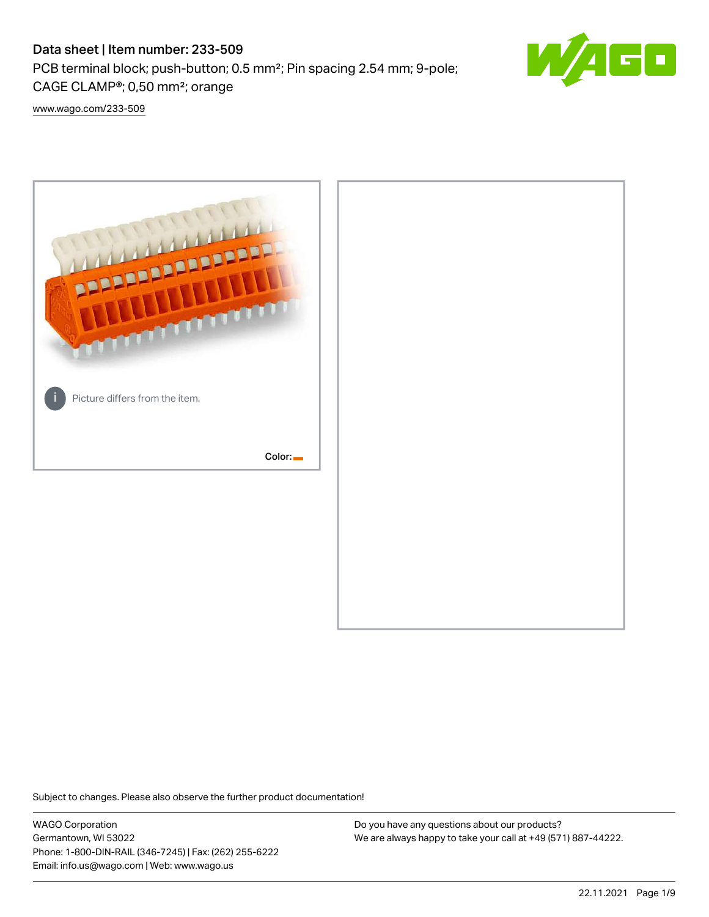# Data sheet | Item number: 233-509

PCB terminal block; push-button; 0.5 mm²; Pin spacing 2.54 mm; 9-pole; CAGE CLAMP®; 0,50 mm²; orange



[www.wago.com/233-509](http://www.wago.com/233-509)



Subject to changes. Please also observe the further product documentation!

WAGO Corporation Germantown, WI 53022 Phone: 1-800-DIN-RAIL (346-7245) | Fax: (262) 255-6222 Email: info.us@wago.com | Web: www.wago.us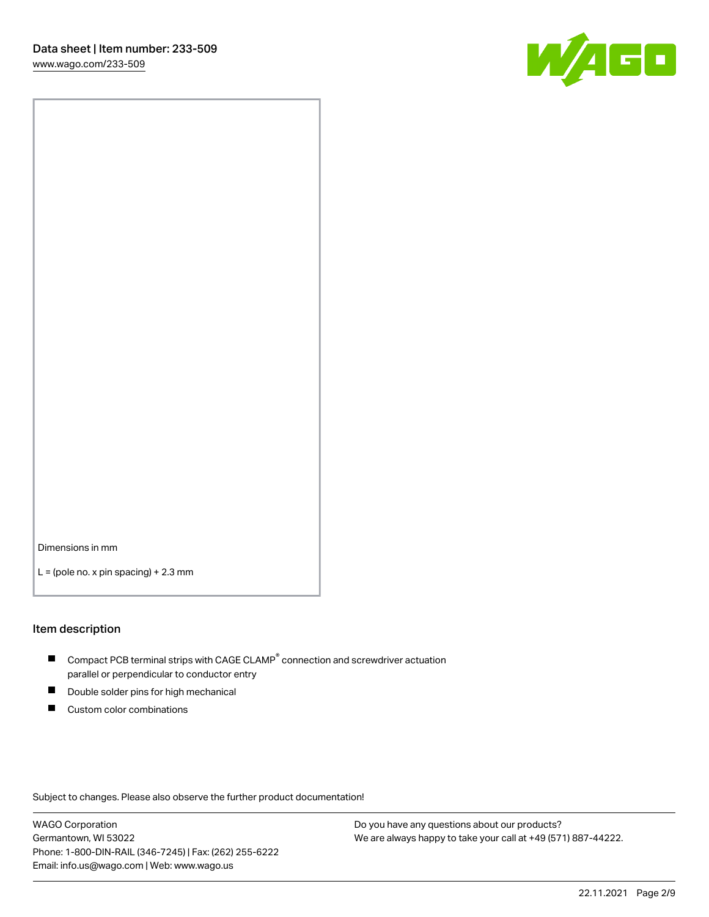

Dimensions in mm

 $L =$  (pole no. x pin spacing) + 2.3 mm

#### Item description

- $\blacksquare$  Compact PCB terminal strips with CAGE CLAMP<sup>®</sup> connection and screwdriver actuation parallel or perpendicular to conductor entry
- П Double solder pins for high mechanical
- $\blacksquare$ Custom color combinations

Subject to changes. Please also observe the further product documentation!

WAGO Corporation Germantown, WI 53022 Phone: 1-800-DIN-RAIL (346-7245) | Fax: (262) 255-6222 Email: info.us@wago.com | Web: www.wago.us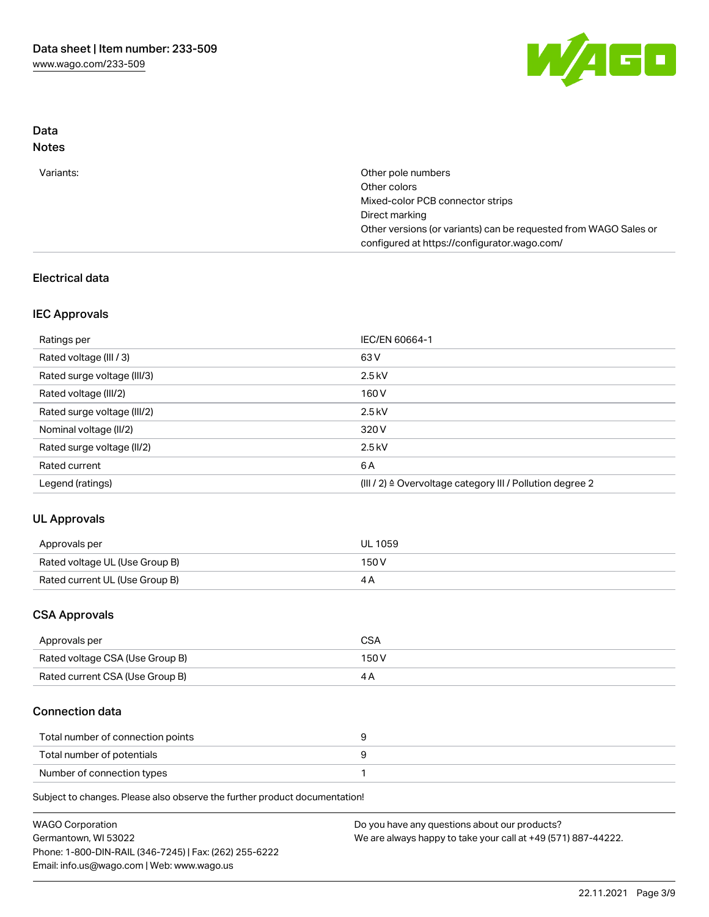

## Data Notes

| Variants: | Other pole numbers                                               |
|-----------|------------------------------------------------------------------|
|           | Other colors                                                     |
|           | Mixed-color PCB connector strips                                 |
|           | Direct marking                                                   |
|           | Other versions (or variants) can be requested from WAGO Sales or |
|           | configured at https://configurator.wago.com/                     |

## Electrical data

## IEC Approvals

| Ratings per                 | IEC/EN 60664-1                                                        |
|-----------------------------|-----------------------------------------------------------------------|
| Rated voltage (III / 3)     | 63 V                                                                  |
| Rated surge voltage (III/3) | $2.5$ kV                                                              |
| Rated voltage (III/2)       | 160 V                                                                 |
| Rated surge voltage (III/2) | $2.5$ kV                                                              |
| Nominal voltage (II/2)      | 320 V                                                                 |
| Rated surge voltage (II/2)  | $2.5$ kV                                                              |
| Rated current               | 6 A                                                                   |
| Legend (ratings)            | $(III / 2)$ $\triangle$ Overvoltage category III / Pollution degree 2 |

# UL Approvals

| Approvals per                  | <b>UL 1059</b> |
|--------------------------------|----------------|
| Rated voltage UL (Use Group B) | 150V           |
| Rated current UL (Use Group B) |                |

## CSA Approvals

| Approvals per                   | CSA   |
|---------------------------------|-------|
| Rated voltage CSA (Use Group B) | 150 V |
| Rated current CSA (Use Group B) |       |

### Connection data

| Total number of connection points |  |
|-----------------------------------|--|
| Total number of potentials        |  |
| Number of connection types        |  |

Subject to changes. Please also observe the further product documentation!

| <b>WAGO Corporation</b>                                | Do you have any questions about our products?                 |
|--------------------------------------------------------|---------------------------------------------------------------|
| Germantown, WI 53022                                   | We are always happy to take your call at +49 (571) 887-44222. |
| Phone: 1-800-DIN-RAIL (346-7245)   Fax: (262) 255-6222 |                                                               |
| Email: info.us@wago.com   Web: www.wago.us             |                                                               |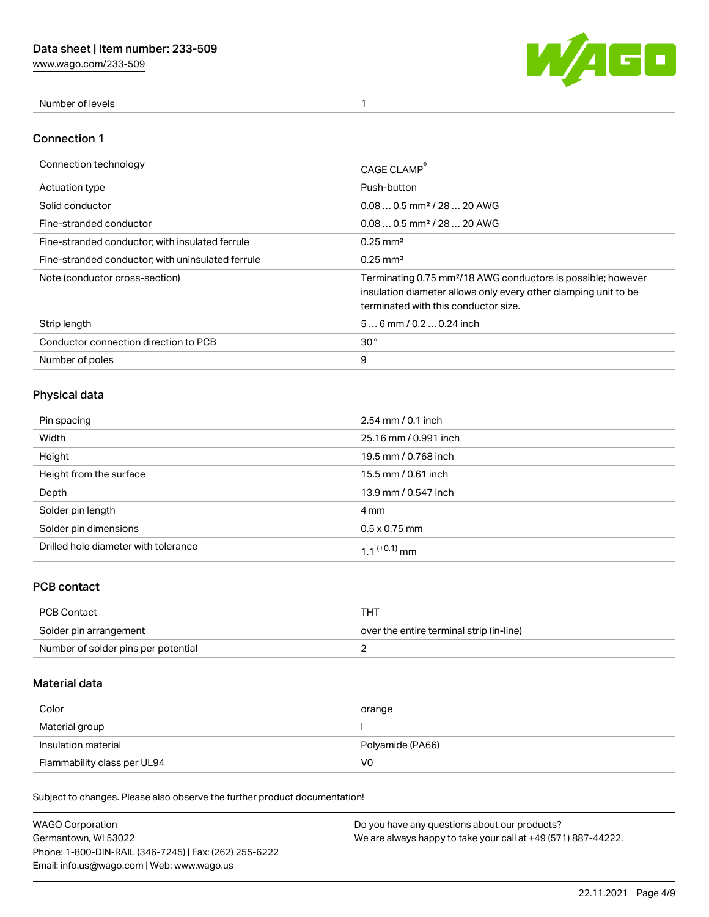[www.wago.com/233-509](http://www.wago.com/233-509)



Number of levels 1

### Connection 1

| Connection technology                             | CAGE CLAMP                                                                                                                                                                          |
|---------------------------------------------------|-------------------------------------------------------------------------------------------------------------------------------------------------------------------------------------|
| <b>Actuation type</b>                             | Push-button                                                                                                                                                                         |
| Solid conductor                                   | $0.080.5$ mm <sup>2</sup> / 28  20 AWG                                                                                                                                              |
| Fine-stranded conductor                           | $0.080.5$ mm <sup>2</sup> / 28  20 AWG                                                                                                                                              |
| Fine-stranded conductor; with insulated ferrule   | $0.25 \text{ mm}^2$                                                                                                                                                                 |
| Fine-stranded conductor: with uninsulated ferrule | $0.25 \text{ mm}^2$                                                                                                                                                                 |
| Note (conductor cross-section)                    | Terminating 0.75 mm <sup>2</sup> /18 AWG conductors is possible; however<br>insulation diameter allows only every other clamping unit to be<br>terminated with this conductor size. |
| Strip length                                      | $56$ mm $/ 0.20.24$ inch                                                                                                                                                            |
| Conductor connection direction to PCB             | 30 <sup>°</sup>                                                                                                                                                                     |
| Number of poles                                   | 9                                                                                                                                                                                   |

## Physical data

| Pin spacing                          | $2.54 \, \text{mm}$ / 0.1 inch |
|--------------------------------------|--------------------------------|
| Width                                | 25.16 mm / 0.991 inch          |
| Height                               | 19.5 mm / 0.768 inch           |
| Height from the surface              | 15.5 mm / 0.61 inch            |
| Depth                                | 13.9 mm / 0.547 inch           |
| Solder pin length                    | 4 mm                           |
| Solder pin dimensions                | $0.5 \times 0.75$ mm           |
| Drilled hole diameter with tolerance | 1.1 <sup>(+0.1)</sup> mm       |

## PCB contact

| PCB Contact                         | THT                                      |
|-------------------------------------|------------------------------------------|
| Solder pin arrangement              | over the entire terminal strip (in-line) |
| Number of solder pins per potential |                                          |

## Material data

| Color               | orange           |
|---------------------|------------------|
| Material group      |                  |
| Insulation material |                  |
|                     | Polyamide (PA66) |

Subject to changes. Please also observe the further product documentation!

| <b>WAGO Corporation</b>                                | Do you have any questions about our products?                 |
|--------------------------------------------------------|---------------------------------------------------------------|
| Germantown, WI 53022                                   | We are always happy to take your call at +49 (571) 887-44222. |
| Phone: 1-800-DIN-RAIL (346-7245)   Fax: (262) 255-6222 |                                                               |
| Email: info.us@wago.com   Web: www.wago.us             |                                                               |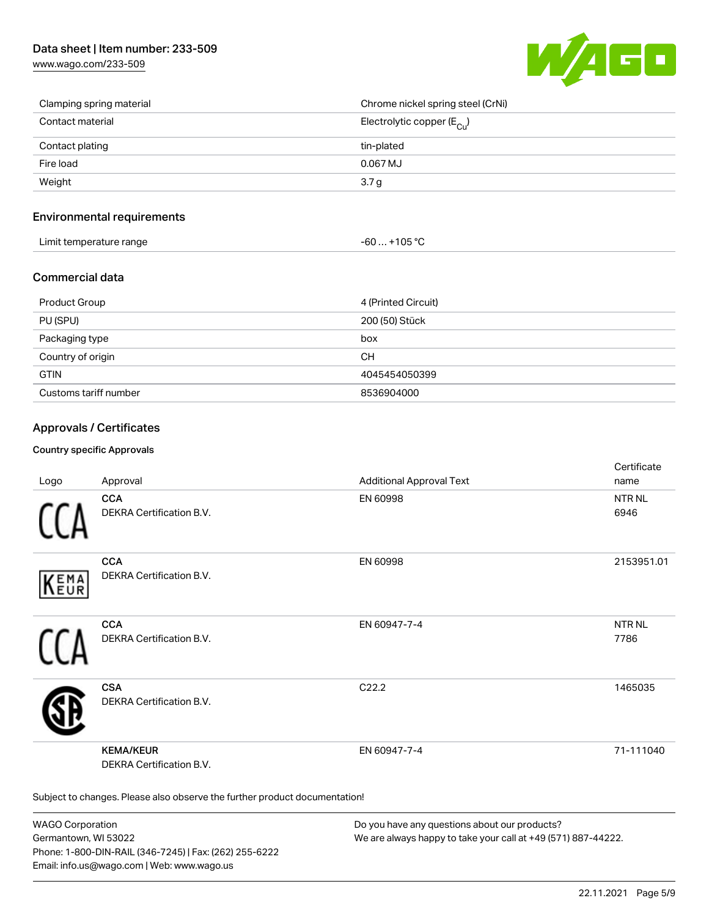## Data sheet | Item number: 233-509

[www.wago.com/233-509](http://www.wago.com/233-509)



| Clamping spring material | Chrome nickel spring steel (CrNi)     |
|--------------------------|---------------------------------------|
| Contact material         | Electrolytic copper $(E_{\text{Cl}})$ |
| Contact plating          | tin-plated                            |
| Fire load                | $0.067$ MJ                            |
| Weight                   | 3.7 <sub>g</sub>                      |

### Environmental requirements

| Limit temperature range | $-60+105 °C$ |
|-------------------------|--------------|
|-------------------------|--------------|

### Commercial data

| Product Group         | 4 (Printed Circuit) |
|-----------------------|---------------------|
| PU (SPU)              | 200 (50) Stück      |
| Packaging type        | box                 |
| Country of origin     | <b>CH</b>           |
| <b>GTIN</b>           | 4045454050399       |
| Customs tariff number | 8536904000          |

### Approvals / Certificates

#### Country specific Approvals

| Logo       | Approval                                                                   | <b>Additional Approval Text</b> | Certificate<br>name       |
|------------|----------------------------------------------------------------------------|---------------------------------|---------------------------|
|            | <b>CCA</b><br>DEKRA Certification B.V.                                     | EN 60998                        | <b>NTR NL</b><br>6946     |
| EMA<br>EUR | <b>CCA</b><br>DEKRA Certification B.V.                                     | EN 60998                        | 2153951.01                |
|            | <b>CCA</b><br>DEKRA Certification B.V.                                     | EN 60947-7-4                    | NTR <sub>NL</sub><br>7786 |
|            | <b>CSA</b><br>DEKRA Certification B.V.                                     | C22.2                           | 1465035                   |
|            | <b>KEMA/KEUR</b><br>DEKRA Certification B.V.                               | EN 60947-7-4                    | 71-111040                 |
|            | Subject to changes. Please also observe the further product documentation! |                                 |                           |

WAGO Corporation Germantown, WI 53022 Phone: 1-800-DIN-RAIL (346-7245) | Fax: (262) 255-6222 Email: info.us@wago.com | Web: www.wago.us

Do you have any questions about our products? We are always happy to take your call at +49 (571) 887-44222.

certificate in the contraction of the contraction of the contraction of the contraction of the contraction of the contraction of the contraction of the contraction of the contraction of the contraction of the contraction o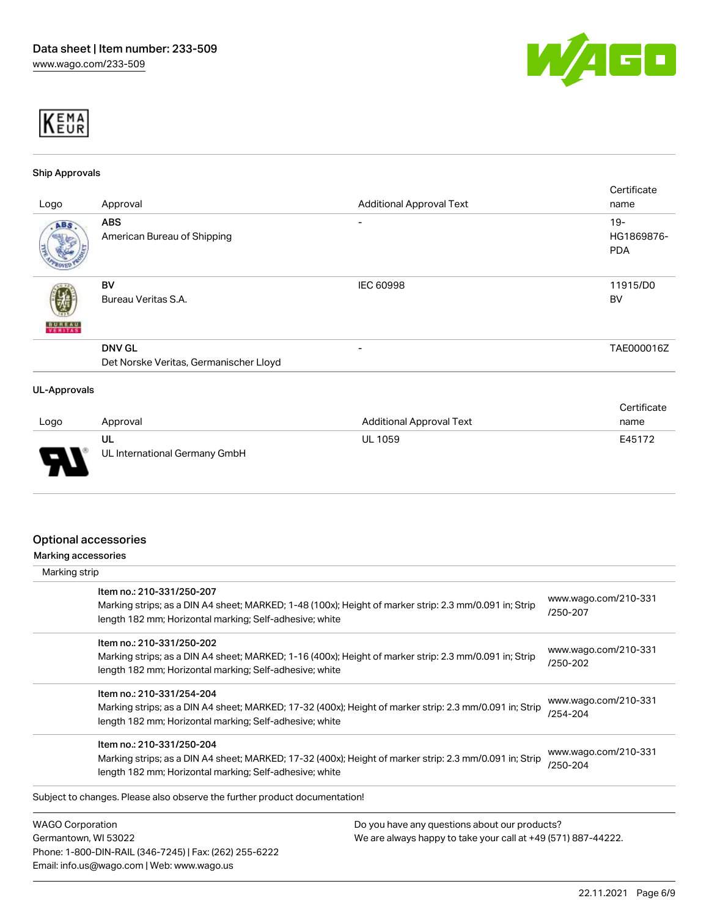



#### Ship Approvals

|                          |                                        |                                 | Certificate |
|--------------------------|----------------------------------------|---------------------------------|-------------|
| Logo                     | Approval                               | <b>Additional Approval Text</b> | name        |
| ABS.                     | <b>ABS</b>                             | $\overline{\phantom{0}}$        | $19 -$      |
|                          | American Bureau of Shipping            |                                 | HG1869876-  |
|                          |                                        |                                 | <b>PDA</b>  |
|                          |                                        |                                 |             |
|                          | BV                                     | IEC 60998                       | 11915/D0    |
|                          | Bureau Veritas S.A.                    |                                 | <b>BV</b>   |
|                          |                                        |                                 |             |
| <b>BUNEAU</b><br>VERITAS |                                        |                                 |             |
|                          | <b>DNV GL</b>                          | $\overline{\phantom{0}}$        | TAE000016Z  |
|                          | Det Norske Veritas, Germanischer Lloyd |                                 |             |
| <b>UL-Approvals</b>      |                                        |                                 |             |
|                          |                                        |                                 |             |
|                          |                                        |                                 | Certificate |
| 1000                     | Approval                               | Additional Approval Toyt        | nama        |

| Logo   | Approval                            | <b>Additional Approval Text</b> | name   |
|--------|-------------------------------------|---------------------------------|--------|
| J<br>◡ | ul<br>UL International Germany GmbH | <b>UL 1059</b>                  | E45172 |

### Optional accessories

Phone: 1-800-DIN-RAIL (346-7245) | Fax: (262) 255-6222

Email: info.us@wago.com | Web: www.wago.us

Marking accessories

| Marking strip                                                                         |                                                                                                         |                                  |
|---------------------------------------------------------------------------------------|---------------------------------------------------------------------------------------------------------|----------------------------------|
| Item no.: 210-331/250-207<br>length 182 mm; Horizontal marking; Self-adhesive; white  | Marking strips; as a DIN A4 sheet; MARKED; 1-48 (100x); Height of marker strip: 2.3 mm/0.091 in; Strip  | www.wago.com/210-331<br>/250-207 |
| Item no.: 210-331/250-202<br>length 182 mm; Horizontal marking; Self-adhesive; white  | Marking strips; as a DIN A4 sheet; MARKED; 1-16 (400x); Height of marker strip: 2.3 mm/0.091 in; Strip  | www.wago.com/210-331<br>/250-202 |
| Item no.: 210-331/254-204<br>length 182 mm; Horizontal marking; Self-adhesive; white  | Marking strips; as a DIN A4 sheet; MARKED; 17-32 (400x); Height of marker strip: 2.3 mm/0.091 in; Strip | www.wago.com/210-331<br>/254-204 |
| Item no.: 210-331/250-204<br>length 182 mm; Horizontal marking; Self-adhesive; white  | Marking strips; as a DIN A4 sheet; MARKED; 17-32 (400x); Height of marker strip: 2.3 mm/0.091 in; Strip | www.wago.com/210-331<br>/250-204 |
| Subject to changes. Please also observe the further product documentation!            |                                                                                                         |                                  |
| <b>WAGO Corporation</b>                                                               | Do you have any questions about our products?                                                           |                                  |
| Germantown, WI 53022<br>We are always happy to take your call at +49 (571) 887-44222. |                                                                                                         |                                  |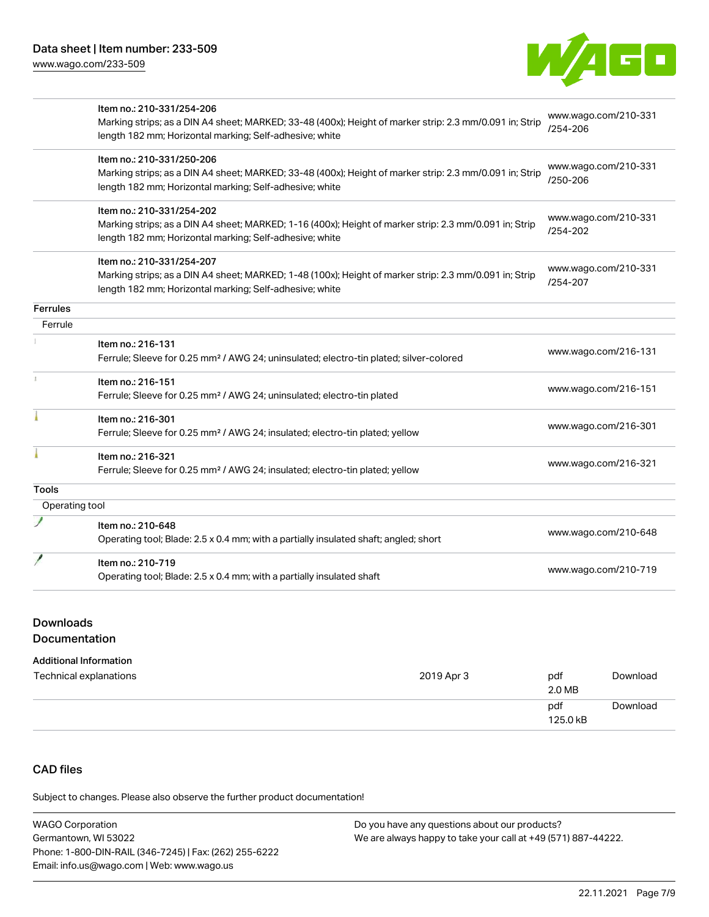

|                 | Item no.: 210-331/254-206                                                                               |                      |  |
|-----------------|---------------------------------------------------------------------------------------------------------|----------------------|--|
|                 | Marking strips; as a DIN A4 sheet; MARKED; 33-48 (400x); Height of marker strip: 2.3 mm/0.091 in; Strip | www.wago.com/210-331 |  |
|                 | length 182 mm; Horizontal marking; Self-adhesive; white                                                 | /254-206             |  |
|                 | Item no.: 210-331/250-206                                                                               |                      |  |
|                 | Marking strips; as a DIN A4 sheet; MARKED; 33-48 (400x); Height of marker strip: 2.3 mm/0.091 in; Strip | www.wago.com/210-331 |  |
|                 | length 182 mm; Horizontal marking; Self-adhesive; white                                                 | /250-206             |  |
|                 | Item no.: 210-331/254-202                                                                               |                      |  |
|                 | Marking strips; as a DIN A4 sheet; MARKED; 1-16 (400x); Height of marker strip: 2.3 mm/0.091 in; Strip  | www.wago.com/210-331 |  |
|                 | length 182 mm; Horizontal marking; Self-adhesive; white                                                 | /254-202             |  |
|                 | Item no.: 210-331/254-207                                                                               |                      |  |
|                 | Marking strips; as a DIN A4 sheet; MARKED; 1-48 (100x); Height of marker strip: 2.3 mm/0.091 in; Strip  | www.wago.com/210-331 |  |
|                 | length 182 mm; Horizontal marking; Self-adhesive; white                                                 | /254-207             |  |
| <b>Ferrules</b> |                                                                                                         |                      |  |
| Ferrule         |                                                                                                         |                      |  |
|                 | Item no.: 216-131                                                                                       | www.wago.com/216-131 |  |
|                 | Ferrule; Sleeve for 0.25 mm <sup>2</sup> / AWG 24; uninsulated; electro-tin plated; silver-colored      |                      |  |
|                 | Item no.: 216-151                                                                                       |                      |  |
|                 | Ferrule; Sleeve for 0.25 mm <sup>2</sup> / AWG 24; uninsulated; electro-tin plated                      | www.wago.com/216-151 |  |
|                 | Item no.: 216-301                                                                                       |                      |  |
|                 | Ferrule; Sleeve for 0.25 mm <sup>2</sup> / AWG 24; insulated; electro-tin plated; yellow                | www.wago.com/216-301 |  |
|                 | Item no.: 216-321                                                                                       |                      |  |
|                 | Ferrule; Sleeve for 0.25 mm <sup>2</sup> / AWG 24; insulated; electro-tin plated; yellow                | www.wago.com/216-321 |  |
| <b>Tools</b>    |                                                                                                         |                      |  |
| Operating tool  |                                                                                                         |                      |  |
|                 | Item no.: 210-648                                                                                       |                      |  |
|                 | Operating tool; Blade: 2.5 x 0.4 mm; with a partially insulated shaft; angled; short                    | www.wago.com/210-648 |  |
|                 | Item no.: 210-719                                                                                       |                      |  |
|                 | Operating tool; Blade: 2.5 x 0.4 mm; with a partially insulated shaft                                   | www.wago.com/210-719 |  |
|                 |                                                                                                         |                      |  |

# Downloads

# Documentation

### Additional Information

| Technical explanations | 2019 Apr 3 | pdf<br>2.0 MB   | Download |
|------------------------|------------|-----------------|----------|
|                        |            | pdf<br>125.0 kB | Download |

# CAD files

Subject to changes. Please also observe the further product documentation!

| <b>WAGO Corporation</b>                                | Do you have any questions about our products?                 |
|--------------------------------------------------------|---------------------------------------------------------------|
| Germantown, WI 53022                                   | We are always happy to take your call at +49 (571) 887-44222. |
| Phone: 1-800-DIN-RAIL (346-7245)   Fax: (262) 255-6222 |                                                               |
| Email: info.us@wago.com   Web: www.wago.us             |                                                               |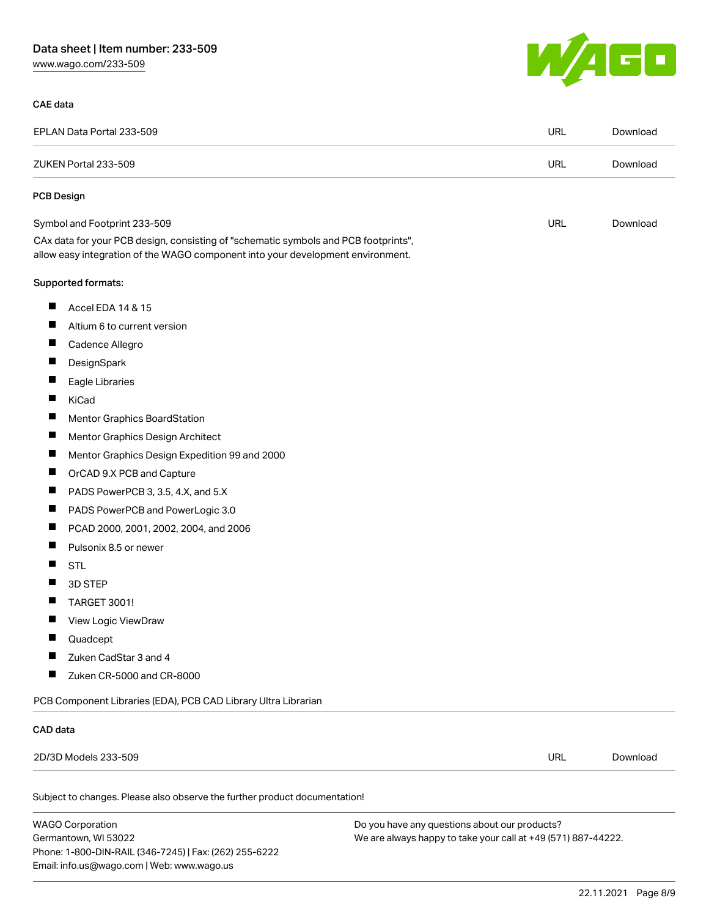# Data sheet | Item number: 233-509

[www.wago.com/233-509](http://www.wago.com/233-509)

### CAE data



| EPLAN Data Portal 233-509                                                                                                                                              | <b>URL</b> | Download |
|------------------------------------------------------------------------------------------------------------------------------------------------------------------------|------------|----------|
| ZUKEN Portal 233-509                                                                                                                                                   | <b>URL</b> | Download |
| <b>PCB Design</b>                                                                                                                                                      |            |          |
| Symbol and Footprint 233-509                                                                                                                                           | URL        | Download |
| CAx data for your PCB design, consisting of "schematic symbols and PCB footprints",<br>allow easy integration of the WAGO component into your development environment. |            |          |
| Supported formats:                                                                                                                                                     |            |          |
| Ш<br>Accel EDA 14 & 15                                                                                                                                                 |            |          |
| ш<br>Altium 6 to current version                                                                                                                                       |            |          |
| ш<br>Cadence Allegro                                                                                                                                                   |            |          |
| $\blacksquare$<br>DesignSpark                                                                                                                                          |            |          |
| ш<br>Eagle Libraries                                                                                                                                                   |            |          |
| ш<br><b>KiCad</b>                                                                                                                                                      |            |          |
| $\blacksquare$<br><b>Mentor Graphics BoardStation</b>                                                                                                                  |            |          |
| ш<br>Mentor Graphics Design Architect                                                                                                                                  |            |          |
| ш<br>Mentor Graphics Design Expedition 99 and 2000                                                                                                                     |            |          |
| ш<br>OrCAD 9.X PCB and Capture                                                                                                                                         |            |          |
| ш<br>PADS PowerPCB 3, 3.5, 4.X, and 5.X                                                                                                                                |            |          |
| ш<br>PADS PowerPCB and PowerLogic 3.0                                                                                                                                  |            |          |
| Ш<br>PCAD 2000, 2001, 2002, 2004, and 2006                                                                                                                             |            |          |
| ш<br>Pulsonix 8.5 or newer                                                                                                                                             |            |          |
| $\blacksquare$<br><b>STL</b>                                                                                                                                           |            |          |
| 3D STEP<br>H                                                                                                                                                           |            |          |
| ш<br>TARGET 3001!                                                                                                                                                      |            |          |
| H<br>View Logic ViewDraw                                                                                                                                               |            |          |
| Quadcept                                                                                                                                                               |            |          |
| Zuken CadStar 3 and 4                                                                                                                                                  |            |          |
| Zuken CR-5000 and CR-8000                                                                                                                                              |            |          |
| PCB Component Libraries (EDA), PCB CAD Library Ultra Librarian                                                                                                         |            |          |
| CAD data                                                                                                                                                               |            |          |
| 2D/3D Models 233-509                                                                                                                                                   | <b>URL</b> | Download |
|                                                                                                                                                                        |            |          |

Subject to changes. Please also observe the further product documentation!

WAGO Corporation Germantown, WI 53022 Phone: 1-800-DIN-RAIL (346-7245) | Fax: (262) 255-6222 Email: info.us@wago.com | Web: www.wago.us